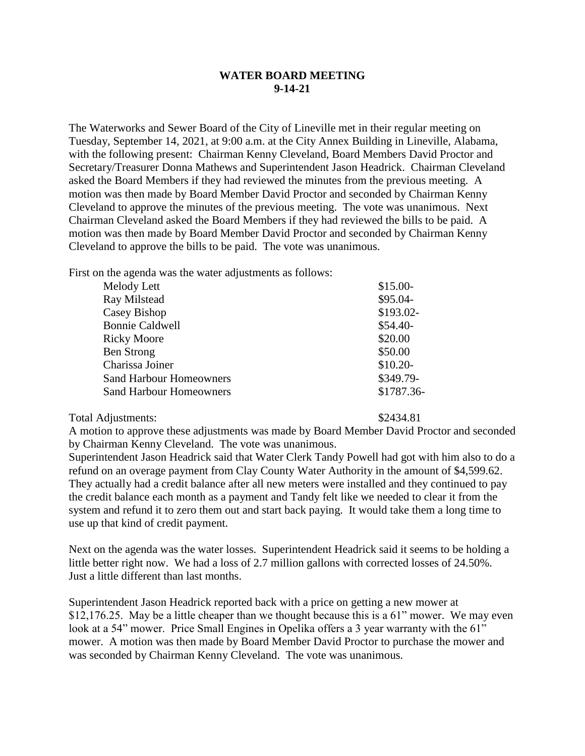## **WATER BOARD MEETING 9-14-21**

The Waterworks and Sewer Board of the City of Lineville met in their regular meeting on Tuesday, September 14, 2021, at 9:00 a.m. at the City Annex Building in Lineville, Alabama, with the following present: Chairman Kenny Cleveland, Board Members David Proctor and Secretary/Treasurer Donna Mathews and Superintendent Jason Headrick. Chairman Cleveland asked the Board Members if they had reviewed the minutes from the previous meeting. A motion was then made by Board Member David Proctor and seconded by Chairman Kenny Cleveland to approve the minutes of the previous meeting. The vote was unanimous. Next Chairman Cleveland asked the Board Members if they had reviewed the bills to be paid. A motion was then made by Board Member David Proctor and seconded by Chairman Kenny Cleveland to approve the bills to be paid. The vote was unanimous.

First on the agenda was the water adjustments as follows:

| Melody Lett                    | $$15.00-$  |
|--------------------------------|------------|
| Ray Milstead                   | $$95.04-$  |
| Casey Bishop                   | \$193.02-  |
| <b>Bonnie Caldwell</b>         | $$54.40-$  |
| <b>Ricky Moore</b>             | \$20.00    |
| <b>Ben Strong</b>              | \$50.00    |
| Charissa Joiner                | $$10.20-$  |
| <b>Sand Harbour Homeowners</b> | \$349.79-  |
| <b>Sand Harbour Homeowners</b> | \$1787.36- |
|                                |            |

Total Adjustments:  $$2434.81$ 

A motion to approve these adjustments was made by Board Member David Proctor and seconded by Chairman Kenny Cleveland. The vote was unanimous.

Superintendent Jason Headrick said that Water Clerk Tandy Powell had got with him also to do a refund on an overage payment from Clay County Water Authority in the amount of \$4,599.62. They actually had a credit balance after all new meters were installed and they continued to pay the credit balance each month as a payment and Tandy felt like we needed to clear it from the system and refund it to zero them out and start back paying. It would take them a long time to use up that kind of credit payment.

Next on the agenda was the water losses. Superintendent Headrick said it seems to be holding a little better right now. We had a loss of 2.7 million gallons with corrected losses of 24.50%. Just a little different than last months.

Superintendent Jason Headrick reported back with a price on getting a new mower at \$12,176.25. May be a little cheaper than we thought because this is a 61" mower. We may even look at a 54" mower. Price Small Engines in Opelika offers a 3 year warranty with the 61" mower. A motion was then made by Board Member David Proctor to purchase the mower and was seconded by Chairman Kenny Cleveland. The vote was unanimous.